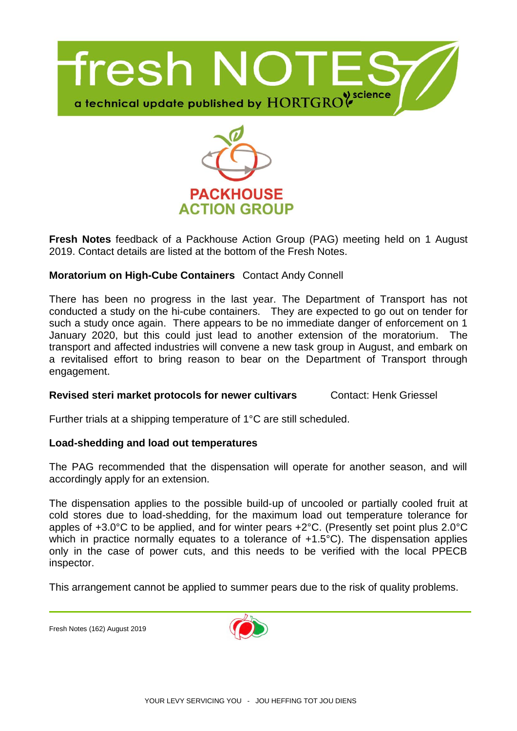



**Fresh Notes** feedback of a Packhouse Action Group (PAG) meeting held on 1 August 2019. Contact details are listed at the bottom of the Fresh Notes.

## **Moratorium on High-Cube Containers** Contact Andy Connell

There has been no progress in the last year. The Department of Transport has not conducted a study on the hi-cube containers. They are expected to go out on tender for such a study once again. There appears to be no immediate danger of enforcement on 1 January 2020, but this could just lead to another extension of the moratorium. The transport and affected industries will convene a new task group in August, and embark on a revitalised effort to bring reason to bear on the Department of Transport through engagement.

## **Revised steri market protocols for newer cultivars Contact: Henk Griessel Contact:** Henk Griessel

Further trials at a shipping temperature of 1°C are still scheduled.

## **Load-shedding and load out temperatures**

The PAG recommended that the dispensation will operate for another season, and will accordingly apply for an extension.

The dispensation applies to the possible build‐up of uncooled or partially cooled fruit at cold stores due to load-shedding, for the maximum load out temperature tolerance for apples of +3.0°C to be applied, and for winter pears +2°C. (Presently set point plus 2.0°C which in practice normally equates to a tolerance of  $+1.5^{\circ}$ C). The dispensation applies only in the case of power cuts, and this needs to be verified with the local PPECB inspector.

This arrangement cannot be applied to summer pears due to the risk of quality problems.

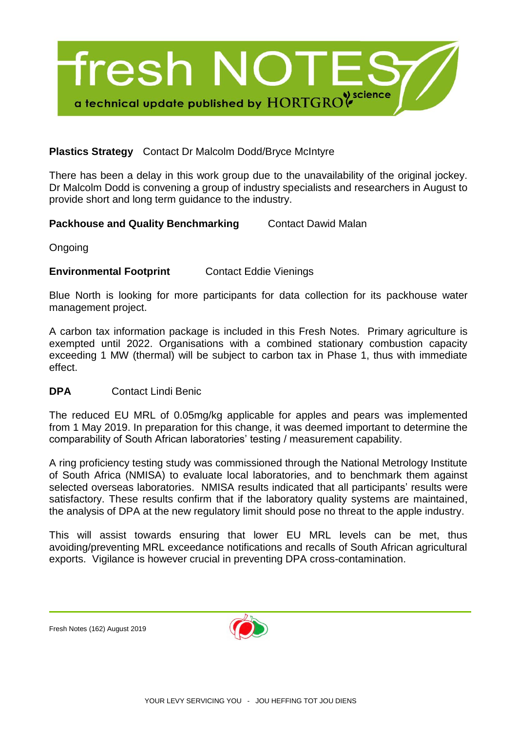

# **Plastics Strategy** Contact Dr Malcolm Dodd/Bryce McIntyre

There has been a delay in this work group due to the unavailability of the original jockey. Dr Malcolm Dodd is convening a group of industry specialists and researchers in August to provide short and long term guidance to the industry.

**Packhouse and Quality Benchmarking Contact Dawid Malan** 

Ongoing

# **Environmental Footprint** Contact Eddie Vienings

Blue North is looking for more participants for data collection for its packhouse water management project.

A carbon tax information package is included in this Fresh Notes. Primary agriculture is exempted until 2022. Organisations with a combined stationary combustion capacity exceeding 1 MW (thermal) will be subject to carbon tax in Phase 1, thus with immediate effect.

## **DPA** Contact Lindi Benic

The reduced EU MRL of 0.05mg/kg applicable for apples and pears was implemented from 1 May 2019. In preparation for this change, it was deemed important to determine the comparability of South African laboratories' testing / measurement capability.

A ring proficiency testing study was commissioned through the National Metrology Institute of South Africa (NMISA) to evaluate local laboratories, and to benchmark them against selected overseas laboratories. NMISA results indicated that all participants' results were satisfactory. These results confirm that if the laboratory quality systems are maintained, the analysis of DPA at the new regulatory limit should pose no threat to the apple industry.

This will assist towards ensuring that lower EU MRL levels can be met, thus avoiding/preventing MRL exceedance notifications and recalls of South African agricultural exports. Vigilance is however crucial in preventing DPA cross-contamination.

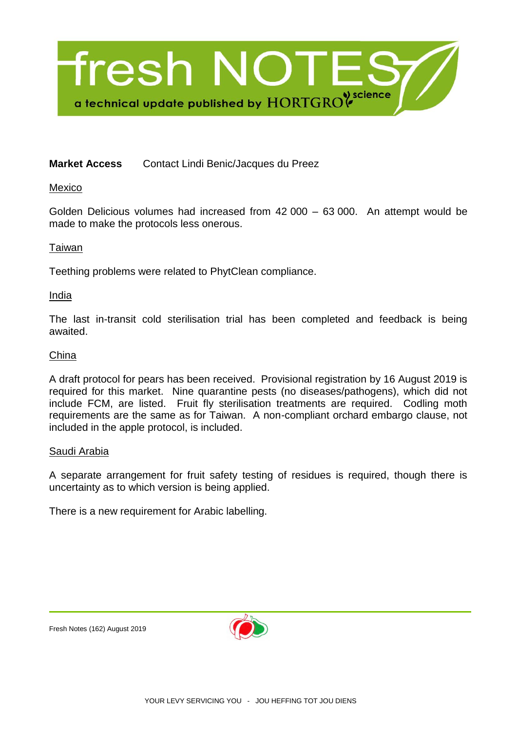

# **Market Access** Contact Lindi Benic/Jacques du Preez

Mexico

Golden Delicious volumes had increased from 42 000 – 63 000. An attempt would be made to make the protocols less onerous.

#### Taiwan

Teething problems were related to PhytClean compliance.

India

The last in-transit cold sterilisation trial has been completed and feedback is being awaited.

#### China

A draft protocol for pears has been received. Provisional registration by 16 August 2019 is required for this market. Nine quarantine pests (no diseases/pathogens), which did not include FCM, are listed. Fruit fly sterilisation treatments are required. Codling moth requirements are the same as for Taiwan. A non-compliant orchard embargo clause, not included in the apple protocol, is included.

#### Saudi Arabia

A separate arrangement for fruit safety testing of residues is required, though there is uncertainty as to which version is being applied.

There is a new requirement for Arabic labelling.